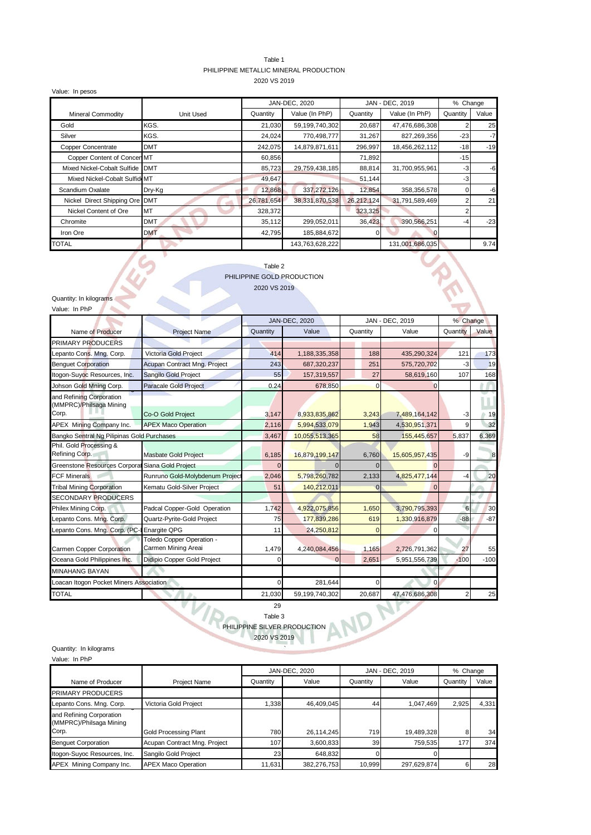#### Table 1 PHILIPPINE METALLIC MINERAL PRODUCTION 2020 VS 2019

Value: In pesos Quantity Value (In PhP) Quantity Value (In PhP) Quantity Value Gold KGS. 21,030 59,199,740,302 20,687 47,476,686,308 2 25 Silver KGS. 24,024 770,498,777 31,267 827,269,356 -23 -7 Copper Concentrate DMT 242,075 14,879,871,611 296,997 18,456,262,112 -18 -19 Copper Content of Concer MT 60,856 71,892 71,892 Mixed Nickel-Cobalt Sulfide DMT 85,723 29,759,438,185 88,814 31,700,955,961 -3 -6 Mixed Nickel-Cobalt Sulfide MT 49,647 51,144 51,144 3 Scandium Oxalate Dry-Kg 12,868 337,272,126 12,854 358,356,578 0 -6 Nickel Direct Shipping Ore DMT 26,781,654 38,331,870,538 26,212,124 31,791,589,469 2 21 Nickel Content of Ore MT 328,372 323,325 323,325 Chromite DMT 35,112 299,052,011 36,423 390,566,251 -4 -23 Iron Ore DMT 42,795 185,884,672 0 0 TOTAL 143,763,628,222 131,001,686,035 9.74 Mineral Commodity **Nineral Commodity Unit Used** JAN-DEC, 2020 JAN - DEC, 2019 % Change

#### Table 2 PHILIPPINE GOLD PRODUCTION 2020 VS 2019

RIVE

Quantity: In kilograms Value: In PhP

 $\sim$ 

| valuc. III III                                      |                                                  |          |                      |          |                 |          |        |
|-----------------------------------------------------|--------------------------------------------------|----------|----------------------|----------|-----------------|----------|--------|
|                                                     |                                                  |          | <b>JAN-DEC, 2020</b> |          | JAN - DEC, 2019 | % Change |        |
| Name of Producer                                    | <b>Project Name</b>                              | Quantity | Value                | Quantity | Value           | Quantity | Value  |
| <b>PRIMARY PRODUCERS</b>                            |                                                  |          |                      |          |                 |          |        |
| epanto Cons. Mng. Corp.                             | Victoria Gold Project                            | 414      | 1,188,335,358        | 188      | 435,290,324     | 121      | 173    |
| <b>Benquet Corporation</b>                          | Acupan Contract Mng. Project                     | 243      | 687,320,237          | 251      | 575,720,702     | -3       | 19     |
| Itogon-Suyoc Resources, Inc.                        | Sangilo Gold Project                             | 55       | 157,319,557          | 27       | 58,619,160      | 107      | 168    |
| Johson Gold Mning Corp.                             | <b>Paracale Gold Project</b>                     | 0.24     | 678,850              | $\Omega$ |                 |          |        |
| and Refining Corporation<br>(MMPRC)/Philsaga Mining |                                                  |          |                      |          |                 |          |        |
| Corp.                                               | Co-O Gold Project                                | 3,147    | 8,933,835,862        | 3,243    | 7,489,164,142   | -3       | 19     |
| APEX Mining Company Inc.                            | <b>APEX Maco Operation</b>                       | 2,116    | 5,994,533,079        | 1,943    | 4,530,951,371   |          | 32     |
| Bangko Sentral Ng Pilipinas Gold Purchases          |                                                  | 3,467    | 10,055,513,365       | 58       | 155,445,657     | 5,837    | 6,369  |
| Phil. Gold Processing &<br>Refining Corp.           | <b>Masbate Gold Project</b>                      | 6,185    | 16,879,199,147       | 6,760    | 15,605,957,435  | -9       | 8      |
| Greenstone Resources Corporal Siana Gold Project    |                                                  |          |                      |          |                 |          |        |
| <b>FCF Minerals</b>                                 | Runruno Gold-Molybdenum Project                  | 2,046    | 5,798,260,782        | 2,133    | 4,825,477,144   | -4       | 20     |
| <b>Tribal Mining Corporation</b>                    | Kematu Gold-Silver Project                       | 51       | 140,212,011          |          |                 |          |        |
| <b>SECONDARY PRODUCERS</b>                          |                                                  |          |                      |          |                 |          |        |
| Philex Mining Corp.                                 | Padcal Copper-Gold Operation                     | 1,742    | 4,922,075,856        | 1,650    | 3,790,795,393   | 6        | 30     |
| Lepanto Cons. Mng. Corp.                            | Quartz-Pyrite-Gold Project                       | 75       | 177,839,286          | 619      | 1,330,916,879   | $-88$    | $-87$  |
| Lepanto Cons. Mng. Corp. (PC-I                      | <b>Enargite QPG</b>                              | 11       | 24,250,812           |          |                 |          |        |
| Carmen Copper Corporation                           | Toledo Copper Operation -<br>Carmen Mining Areai | 1,479    | 4,240,084,456        | 1,165    | 2,726,791,362   | 27       | 55     |
| Oceana Gold Philippines Inc.                        | Didipio Copper Gold Project                      |          |                      | 2,651    | 5,951,556,739   | $-100$   | $-100$ |
| <b>MINAHANG BAYAN</b>                               |                                                  |          |                      |          |                 |          |        |
| Loacan Itogon Pocket Miners Association             |                                                  | U        | 281,644              |          | O               |          |        |
| <b>TOTAL</b>                                        |                                                  | 21,030   | 59,199,740,302       | 20,687   | 47,476,686,308  |          | 25     |
|                                                     |                                                  |          |                      |          |                 |          |        |



# PHILIPPINE SILVER PRODUCTION 2020 VS 2019

Quantity: In kilograms

| Value: In PhP                                                |                              |          |               |          |                 |          |          |
|--------------------------------------------------------------|------------------------------|----------|---------------|----------|-----------------|----------|----------|
|                                                              |                              |          | JAN-DEC, 2020 |          | JAN - DEC, 2019 |          | % Change |
| Name of Producer                                             | <b>Project Name</b>          | Quantity | Value         | Quantity | Value           | Quantity | Value    |
| <b>PRIMARY PRODUCERS</b>                                     |                              |          |               |          |                 |          |          |
| Lepanto Cons. Mng. Corp.                                     | Victoria Gold Project        | 1.338    | 46.409.045    | 44       | 1,047,469       | 2,925    | 4.331    |
| and Refining Corporation<br>(MMPRC)/Philsaga Mining<br>Corp. |                              |          |               |          |                 |          |          |
|                                                              | <b>Gold Processing Plant</b> | 780      | 26,114,245    | 719      | 19,489,328      |          | 34       |
| <b>Benguet Corporation</b>                                   | Acupan Contract Mng. Project | 107      | 3,600,833     | 39       | 759.535         | 177      | 374      |
| Itogon-Suyoc Resources, Inc.                                 | Sangilo Gold Project         | 23       | 648,832       |          |                 |          |          |
| APEX Mining Company Inc.                                     | <b>APEX Maco Operation</b>   | 11.631   | 382.276.753   | 10.999   | 297,629,874     |          | 28       |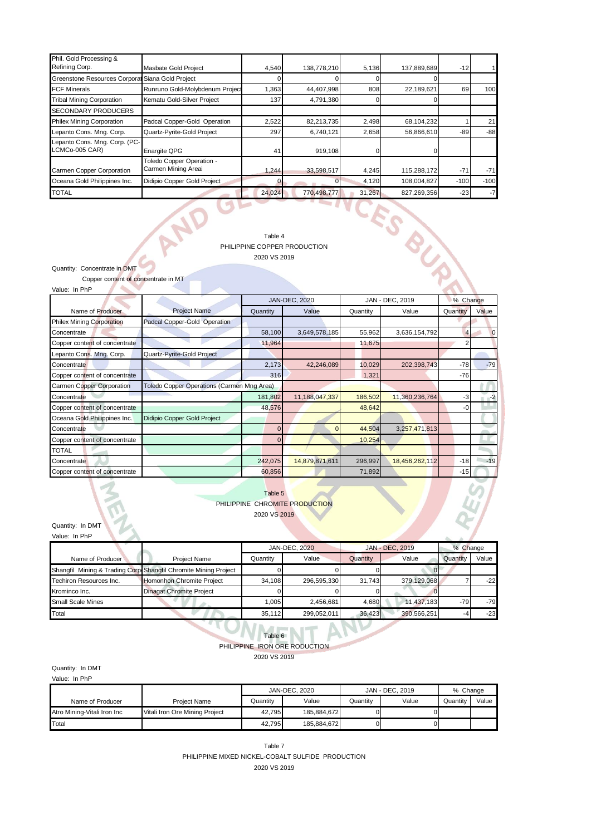| Phil. Gold Processing &                          |                                                  |        |             |        |             |        |        |
|--------------------------------------------------|--------------------------------------------------|--------|-------------|--------|-------------|--------|--------|
| Refining Corp.                                   | Masbate Gold Project                             | 4,540  | 138,778,210 | 5,136  | 137,889,689 | $-12$  |        |
| Greenstone Resources Corporal Siana Gold Project |                                                  |        |             |        |             |        |        |
| <b>FCF Minerals</b>                              | Runruno Gold-Molybdenum Project                  | 1,363  | 44,407,998  | 808    | 22,189,621  | 69     | 100    |
| <b>Tribal Mining Corporation</b>                 | Kematu Gold-Silver Project                       | 137    | 4,791,380   |        |             |        |        |
| <b>SECONDARY PRODUCERS</b>                       |                                                  |        |             |        |             |        |        |
| <b>Philex Mining Corporation</b>                 | Padcal Copper-Gold Operation                     | 2,522  | 82,213,735  | 2,498  | 68,104,232  |        | 21     |
| Lepanto Cons. Mng. Corp.                         | Quartz-Pyrite-Gold Project                       | 297    | 6,740,121   | 2,658  | 56,866,610  | -89    | $-88$  |
| Lepanto Cons. Mng. Corp. (PC-<br>LCMCo-005 CAR)  | <b>Enargite QPG</b>                              | 41     | 919,108     |        |             |        |        |
| Carmen Copper Corporation                        | Toledo Copper Operation -<br>Carmen Mining Areai | 1.244  | 33,598,517  | 4,245  | 115,288,172 | $-71$  | $-71$  |
| Oceana Gold Philippines Inc.                     | Didipio Copper Gold Project                      |        |             | 4,120  | 108,004,827 | $-100$ | $-100$ |
| <b>TOTAL</b>                                     |                                                  | 24,024 | 770,498,777 | 31,267 | 827,269,356 | $-23$  | $-7$   |
|                                                  |                                                  |        |             |        |             |        |        |

Table 4

#### PHILIPPINE COPPER PRODUCTION 2020 VS 2019

Quantity: Concentrate in DMT

 Copper content of concentrate in MT Value: In PhP  $\Delta$ 

AN

| value. In PilP                   |                                                   |                |                      |                 |                |                |       |
|----------------------------------|---------------------------------------------------|----------------|----------------------|-----------------|----------------|----------------|-------|
|                                  |                                                   |                | <b>JAN-DEC, 2020</b> | JAN - DEC, 2019 |                | % Change       |       |
| Name of Producer                 | <b>Project Name</b>                               | Quantity       | Value                | Quantity        | Value          | Quantity       | Value |
| <b>Philex Mining Corporation</b> | Padcal Copper-Gold Operation                      |                |                      |                 |                |                |       |
| Concentrate                      |                                                   | 58,100         | 3,649,578,185        | 55,962          | 3,636,154,792  | $\overline{4}$ |       |
| Copper content of concentrate    |                                                   | 11,964         |                      | 11,675          |                |                |       |
| Lepanto Cons. Mng. Corp.         | Quartz-Pyrite-Gold Project                        |                |                      |                 |                |                |       |
| Concentrate                      |                                                   | 2,173          | 42,246,089           | 10,029          | 202,398,743    | $-78$          | $-79$ |
| Copper content of concentrate    |                                                   | 316            |                      | 1,321           |                | $-76$          |       |
| <b>Carmen Copper Corporation</b> | <b>Toledo Copper Operations (Carmen Mng Area)</b> |                |                      |                 |                |                |       |
| Concentrate                      |                                                   | 181,802        | 11,188,047,337       | 186,502         | 11,360,236,764 | $-3$           |       |
| Copper content of concentrate    |                                                   | 48,576         |                      | 48,642          |                | -0             |       |
| Oceana Gold Philippines Inc.     | Didipio Copper Gold Project                       |                |                      |                 |                |                |       |
| Concentrate                      |                                                   | $\Omega$       | $\Omega$             | 44,504          | 3,257,471,813  |                |       |
| Copper content of concentrate    |                                                   | $\overline{0}$ |                      | 10,254          |                |                |       |
| <b>TOTAL</b>                     |                                                   |                |                      |                 |                |                |       |
| Concentrate                      |                                                   | 242,075        | 14,879,871,611       | 296,997         | 18,456,262,112 | $-18$          | $-19$ |
| Copper content of concentrate    |                                                   | 60,856         |                      | 71,892          |                | $-15$          |       |

### Table 5 PHILIPPINE CHROMITE PRODUCTION 2020 VS 2019

Quantity: In DMT Value: In PhP

|                          |                                                                 | <b>JAN-DEC. 2020</b> |             | JAN - DEC, 2019 | % Change    |          |       |
|--------------------------|-----------------------------------------------------------------|----------------------|-------------|-----------------|-------------|----------|-------|
| Name of Producer         | <b>Project Name</b>                                             | Quantity             | Value       | Quantity        | Value       | Quantity | Value |
|                          | Shangfil Mining & Trading Corp Shangfil Chromite Mining Project |                      |             |                 |             |          |       |
| Techiron Resources Inc.  | Homonhon Chromite Project                                       | 34.108               | 296.595.330 | 31.743          | 379.129.068 |          | $-22$ |
| Krominco Inc.            | <b>Dinagat Chromite Project</b>                                 |                      |             |                 |             |          |       |
| <b>Small Scale Mines</b> |                                                                 | 1.005                | 2,456,681   | 4,680           | 11.437.183  | $-79$    | $-79$ |
| Total                    |                                                                 | 35.112               | 299,052,011 | 36,423          | 390.566.251 |          | $-23$ |

# Table 6 PHILIPPINE IRON ORE RODUCTION

2020 VS 2019

Quantity: In DMT Value: In PhP

|                             |                                | JAN-DEC, 2020 |             | JAN - DEC, 2019 | % Change |          |       |
|-----------------------------|--------------------------------|---------------|-------------|-----------------|----------|----------|-------|
| Name of Producer            | <b>Project Name</b>            | Quantity      | Value       | Quantitv        | Value    | Quantitv | Value |
| Atro Mining-Vitali Iron Inc | Vitali Iron Ore Mining Project | 42.795        | 185.884.672 |                 |          |          |       |
| Total                       |                                | 42.795        | 185.884.672 |                 |          |          |       |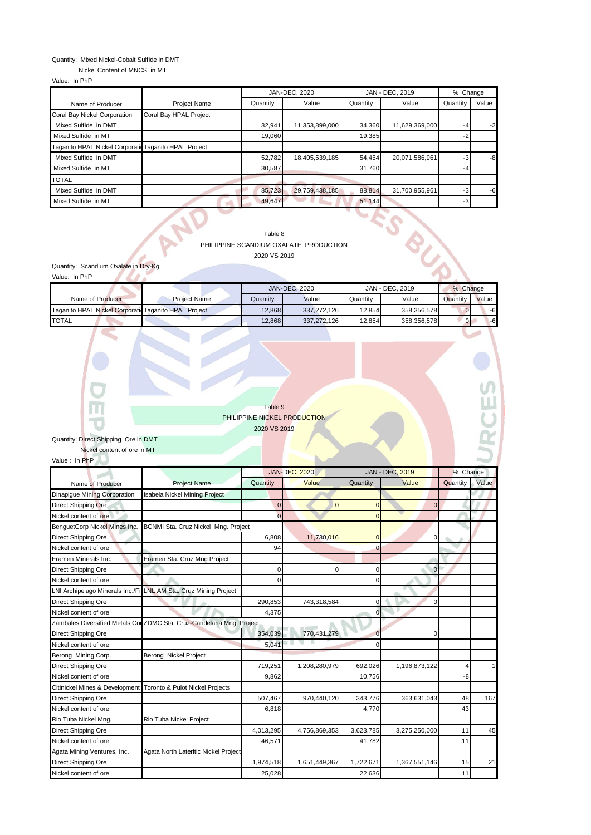### Quantity: Mixed Nickel-Cobalt Sulfide in DMT

Nickel Content of MNCS in MT

Value: In PhP

|                                                       |                        |          | JAN-DEC, 2020  |          | JAN - DEC, 2019 |              | % Change |
|-------------------------------------------------------|------------------------|----------|----------------|----------|-----------------|--------------|----------|
| Name of Producer                                      | <b>Project Name</b>    | Quantity | Value          | Quantity | Value           | Quantity     | Value    |
| Coral Bay Nickel Corporation                          | Coral Bay HPAL Project |          |                |          |                 |              |          |
| Mixed Sulfide in DMT                                  |                        | 32.941   | 11,353,899,000 | 34,360   | 11,629,369,000  | -4           | $-2$     |
| Mixed Sulfide in MT                                   |                        | 19.060   |                | 19,385   |                 | $-2^{\circ}$ |          |
| Taganito HPAL Nickel Corporatic Taganito HPAL Project |                        |          |                |          |                 |              |          |
| Mixed Sulfide in DMT                                  |                        | 52,782   | 18,405,539,185 | 54,454   | 20,071,586,961  | -3           | $-8$     |
| Mixed Sulfide in MT                                   |                        | 30.587   |                | 31.760   |                 | -4           |          |
| <b>TOTAL</b>                                          |                        |          |                |          |                 |              |          |
| Mixed Sulfide in DMT                                  |                        | 85,723   | 29,759,438,185 | 88,814   | 31,700,955,961  | $-3$         | $-6$     |
| Mixed Sulfide in MT                                   |                        | 49.647   |                | 51,144   |                 | $-3$         |          |

Table 8

## PHILIPPINE SCANDIUM OXALATE PRODUCTION 2020 VS 2019

Quantity: Scandium Oxalate in Dry-Kg<br>Value: In PhP

| Value: In PhP                                         |                     |          |                      |          |                 |          |       |
|-------------------------------------------------------|---------------------|----------|----------------------|----------|-----------------|----------|-------|
|                                                       |                     |          | <b>JAN-DEC, 2020</b> |          | JAN - DEC, 2019 | % Change |       |
| Name of Producer                                      | <b>Project Name</b> | Quantitv | Value                | Quantitv | Value           | Quantity | Value |
| Taganito HPAL Nickel Corporatic Taganito HPAL Project |                     | 12.868   | 337.272.126          | 12.854   | 358.356.578     |          | -6    |
| TOTAL                                                 |                     | 12.868   | 337.272.126          | 12.854   | 358,356,578     | $\Omega$ | $-6$  |

Table 9 PHILIPPINE NICKEL PRODUCTION 2020 VS 2019

**PCESS** 

# Quantity: Direct Shipping Ore in DMT

Nickel content of ore in MT

Value : In PhP

|                               |                                                                        |                | <b>JAN-DEC, 2020</b> |                | <b>JAN - DEC, 2019</b> | % Change |       |
|-------------------------------|------------------------------------------------------------------------|----------------|----------------------|----------------|------------------------|----------|-------|
| Name of Producer              | <b>Project Name</b>                                                    | Quantity       | Value                | Quantity       | Value                  | Quantity | Value |
| Dinapique Mining Corporation  | Isabela Nickel Mining Project                                          |                |                      |                |                        |          |       |
| <b>Direct Shipping Ore</b>    |                                                                        | $\overline{0}$ | $\Omega$             | $\Omega$       | $\overline{0}$         |          |       |
| Nickel content of ore         |                                                                        | $\Omega$       |                      | $\Omega$       |                        |          |       |
| BenquetCorp Nickel Mines Inc. | BCNMI Sta. Cruz Nickel Mng. Project                                    |                |                      |                |                        |          |       |
| Direct Shipping Ore           |                                                                        | 6.808          | 11.730.016           | $\overline{0}$ | 0                      |          |       |
| Nickel content of ore         |                                                                        | 94             |                      | በ              |                        |          |       |
| Eramen Minerals Inc.          | Eramen Sta. Cruz Mng Project                                           |                |                      |                |                        |          |       |
| <b>Direct Shipping Ore</b>    |                                                                        | 0              |                      | 0              | $\overline{0}$         |          |       |
| Nickel content of ore         |                                                                        | 0              |                      | $\Omega$       |                        |          |       |
|                               | LNI Archipelago Minerals Inc./Fil LNL AM Sta. Cruz Mining Project      |                |                      |                |                        |          |       |
| <b>Direct Shipping Ore</b>    |                                                                        | 290,853        | 743,318,584          | 0              | 0                      |          |       |
| Nickel content of ore         |                                                                        | 4,375          |                      | $\Omega$       |                        |          |       |
|                               | Zambales Diversified Metals Cor ZDMC Sta. Cruz-Candelaria Mng. Project |                |                      |                |                        |          |       |
| <b>Direct Shipping Ore</b>    |                                                                        | 354,039        | 770,431,279          | $\overline{0}$ | $\Omega$               |          |       |
| Nickel content of ore         |                                                                        | 5.041          |                      | $\Omega$       |                        |          |       |
| Berong Mining Corp.           | Berong Nickel Project                                                  |                |                      |                |                        |          |       |
| <b>Direct Shipping Ore</b>    |                                                                        | 719,251        | 1,208,280,979        | 692,026        | 1,196,873,122          |          |       |
| Nickel content of ore         |                                                                        | 9,862          |                      | 10,756         |                        | -8       |       |
|                               | Citinickel Mines & Development Toronto & Pulot Nickel Projects         |                |                      |                |                        |          |       |
| Direct Shipping Ore           |                                                                        | 507,467        | 970,440,120          | 343,776        | 363,631,043            | 48       | 167   |
| Nickel content of ore         |                                                                        | 6,818          |                      | 4,770          |                        | 43       |       |
| Rio Tuba Nickel Mng.          | Rio Tuba Nickel Project                                                |                |                      |                |                        |          |       |
| <b>Direct Shipping Ore</b>    |                                                                        | 4,013,295      | 4,756,869,353        | 3,623,785      | 3,275,250,000          | 11       | 45    |
| Nickel content of ore         |                                                                        | 46,571         |                      | 41,782         |                        | 11       |       |
| Agata Mining Ventures, Inc.   | Agata North Lateritic Nickel Project                                   |                |                      |                |                        |          |       |
| Direct Shipping Ore           |                                                                        | 1,974,518      | 1,651,449,367        | 1,722,671      | 1,367,551,146          | 15       | 21    |
| Nickel content of ore         |                                                                        | 25,028         |                      | 22,636         |                        | 11       |       |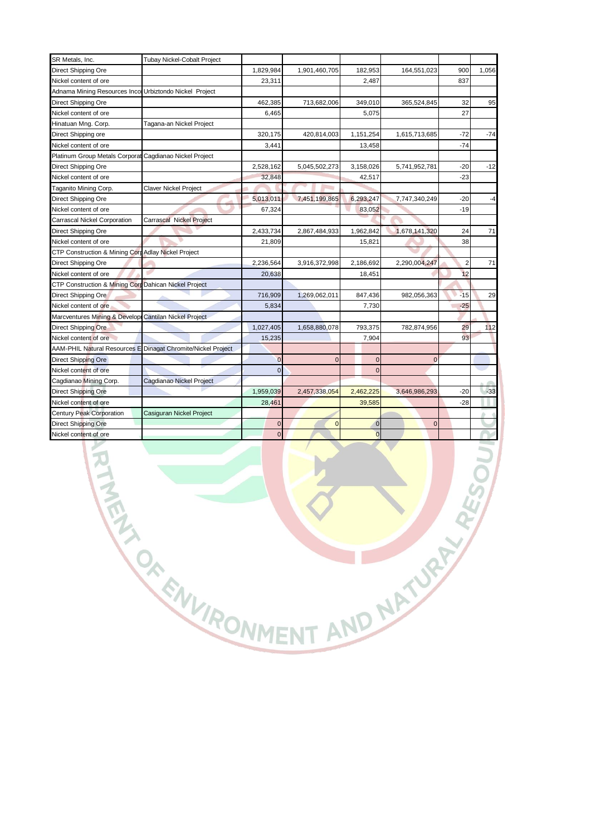| SR Metals, Inc.                                         | Tubay Nickel-Cobalt Project     |                |               |                |                |                |       |
|---------------------------------------------------------|---------------------------------|----------------|---------------|----------------|----------------|----------------|-------|
| Direct Shipping Ore                                     |                                 | 1,829,984      | 1,901,460,705 | 182,953        | 164,551,023    | 900            | 1,056 |
| Nickel content of ore                                   |                                 | 23,311         |               | 2,487          |                | 837            |       |
| Adnama Mining Resources Incol Urbiztondo Nickel Project |                                 |                |               |                |                |                |       |
| Direct Shipping Ore                                     |                                 | 462,385        | 713,682,006   | 349,010        | 365,524,845    | 32             | 95    |
| Nickel content of ore                                   |                                 | 6,465          |               | 5,075          |                | 27             |       |
| Hinatuan Mng. Corp.                                     | Tagana-an Nickel Project        |                |               |                |                |                |       |
| Direct Shipping ore                                     |                                 | 320,175        | 420,814,003   | 1,151,254      | 1,615,713,685  | -72            | $-74$ |
| Nickel content of ore                                   |                                 | 3,441          |               | 13,458         |                | $-74$          |       |
| Platinum Group Metals Corporat                          | Cagdianao Nickel Project        |                |               |                |                |                |       |
| Direct Shipping Ore                                     |                                 | 2,528,162      | 5,045,502,273 | 3,158,026      | 5,741,952,781  | $-20$          | $-12$ |
| Nickel content of ore                                   |                                 | 32,848         |               | 42,517         |                | $-23$          |       |
| <b>Taganito Mining Corp.</b>                            | <b>Claver Nickel Project</b>    |                |               |                |                |                |       |
| Direct Shipping Ore                                     |                                 | 5,013,011      | 7,451,199,865 | 6,293,247      | 7,747,340,249  | $-20$          | -4    |
| <b>Nickel content of ore</b>                            |                                 | 67,324         |               | 83,052         |                | $-19$          |       |
| Carrascal Nickel Corporation                            | Carrascal Nickel Project        |                |               |                |                |                |       |
| Direct Shipping Ore                                     |                                 | 2,433,734      | 2,867,484,933 | 1,962,842      | 1,678,141,320  | 24             | 71    |
| Nickel content of ore                                   |                                 | 21,809         |               | 15,821         |                | 38             |       |
| CTP Construction & Mining Corp Adlay Nickel Project     |                                 |                |               |                |                |                |       |
| Direct Shipping Ore                                     |                                 | 2,236,564      | 3,916,372,998 | 2,186,692      | 2,290,004,247  | $\overline{2}$ | 71    |
| Nickel content of ore                                   |                                 | 20,638         |               | 18,451         |                | 12             |       |
| CTP Construction & Mining Cord Dahican Nickel Project   |                                 |                |               |                |                |                |       |
| Direct Shipping Ore                                     |                                 | 716,909        | 1,269,062,011 | 847,436        | 982,056,363    | $-15$          | 29    |
| Nickel content of ore                                   |                                 | 5,834          |               | 7,730          |                | $-25$          |       |
| Marcventures Mining & Developi                          | <b>Cantilan Nickel Project</b>  |                |               |                |                |                |       |
| Direct Shipping Ore                                     |                                 | 1,027,405      | 1,658,880,078 | 793,375        | 782,874,956    | 29             | 112   |
| Nickel content of ore                                   |                                 | 15,235         |               | 7,904          |                | 93             |       |
| <b>AAM-PHIL Natural Resources E</b>                     | Dinagat Chromite/Nickel Project |                |               |                |                |                |       |
| Direct Shipping Ore                                     |                                 | $\overline{0}$ | $\Omega$      | $\mathbf 0$    | $\overline{0}$ |                |       |
| Nickel content of ore                                   |                                 | $\Omega$       |               | $\Omega$       |                |                |       |
| Cagdianao Mining Corp.                                  | Cagdianao Nickel Project        |                |               |                |                |                |       |
| Direct Shipping Ore                                     |                                 | 1,959,039      | 2,457,338,054 | 2,462,225      | 3,646,986,293  | $-20$          | $-33$ |
| <b>Nickel content of ore</b>                            |                                 | 28,461         |               | 39,585         |                | $-28$          |       |
| Century Peak Corporation                                | Casiguran Nickel Project        |                |               |                |                |                |       |
| Direct Shipping Ore                                     |                                 | $\overline{0}$ | $\Omega$      | $\overline{0}$ | $\Omega$       |                |       |
| Nickel content of ore                                   |                                 | $\mathbf 0$    |               | $\Omega$       |                |                |       |